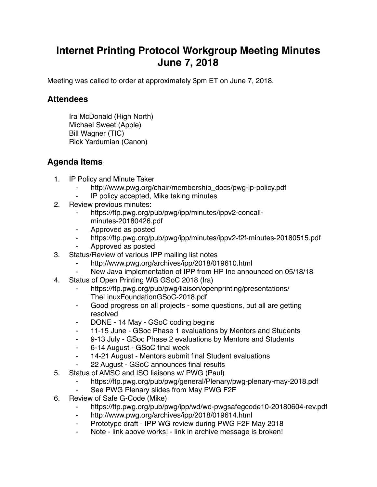## **Internet Printing Protocol Workgroup Meeting Minutes June 7, 2018**

Meeting was called to order at approximately 3pm ET on June 7, 2018.

## **Attendees**

Ira McDonald (High North) Michael Sweet (Apple) Bill Wagner (TIC) Rick Yardumian (Canon)

## **Agenda Items**

- 1. IP Policy and Minute Taker
	- http://www.pwg.org/chair/membership\_docs/pwg-ip-policy.pdf
	- ⁃ IP policy accepted, Mike taking minutes
- 2. Review previous minutes:
	- ⁃ https://ftp.pwg.org/pub/pwg/ipp/minutes/ippv2-concallminutes-20180426.pdf
	- ⁃ Approved as posted
	- ⁃ https://ftp.pwg.org/pub/pwg/ipp/minutes/ippv2-f2f-minutes-20180515.pdf
	- ⁃ Approved as posted
- 3. Status/Review of various IPP mailing list notes
	- http://www.pwg.org/archives/ipp/2018/019610.html
	- New Java implementation of IPP from HP Inc announced on 05/18/18
- 4. Status of Open Printing WG GSoC 2018 (Ira)
	- https://ftp.pwg.org/pub/pwg/liaison/openprinting/presentations/ TheLinuxFoundationGSoC-2018.pdf
	- ⁃ Good progress on all projects some questions, but all are getting resolved
	- ⁃ DONE 14 May GSoC coding begins
	- 11-15 June GSoc Phase 1 evaluations by Mentors and Students
	- ⁃ 9-13 July GSoc Phase 2 evaluations by Mentors and Students
	- ⁃ 6-14 August GSoC final week
	- ⁃ 14-21 August Mentors submit final Student evaluations
	- ⁃ 22 August GSoC announces final results
- 5. Status of AMSC and ISO liaisons w/ PWG (Paul)
	- https://ftp.pwg.org/pub/pwg/general/Plenary/pwg-plenary-may-2018.pdf
	- See PWG Plenary slides from May PWG F2F
- 6. Review of Safe G-Code (Mike)
	- ⁃ https://ftp.pwg.org/pub/pwg/ipp/wd/wd-pwgsafegcode10-20180604-rev.pdf
	- ⁃ http://www.pwg.org/archives/ipp/2018/019614.html
	- Prototype draft IPP WG review during PWG F2F May 2018
	- Note link above works! link in archive message is broken!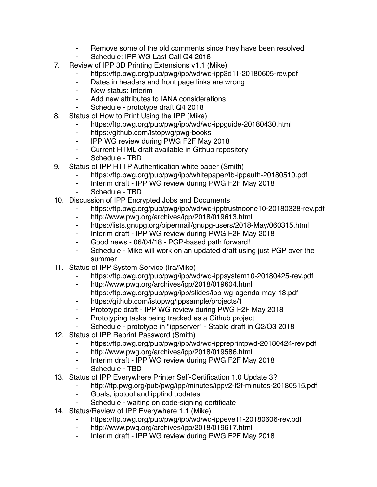- ⁃ Remove some of the old comments since they have been resolved.
- Schedule: IPP WG Last Call Q4 2018
- 7. Review of IPP 3D Printing Extensions v1.1 (Mike)
	- https://ftp.pwg.org/pub/pwg/ipp/wd/wd-ipp3d11-20180605-rev.pdf
	- ⁃ Dates in headers and front page links are wrong
	- ⁃ New status: Interim
	- ⁃ Add new attributes to IANA considerations
	- Schedule prototype draft Q4 2018
- 8. Status of How to Print Using the IPP (Mike)
	- https://ftp.pwg.org/pub/pwg/ipp/wd/wd-ippguide-20180430.html
	- ⁃ https://github.com/istopwg/pwg-books
	- ⁃ IPP WG review during PWG F2F May 2018
	- ⁃ Current HTML draft available in Github repository
	- Schedule TBD
- 9. Status of IPP HTTP Authentication white paper (Smith)
	- https://ftp.pwg.org/pub/pwg/ipp/whitepaper/tb-ippauth-20180510.pdf
	- ⁃ Interim draft IPP WG review during PWG F2F May 2018
	- Schedule TBD
- 10. Discussion of IPP Encrypted Jobs and Documents
	- https://ftp.pwg.org/pub/pwg/ipp/wd/wd-ipptrustnoone10-20180328-rev.pdf
	- ⁃ http://www.pwg.org/archives/ipp/2018/019613.html
	- ⁃ https://lists.gnupg.org/pipermail/gnupg-users/2018-May/060315.html
	- Interim draft IPP WG review during PWG F2F May 2018
	- ⁃ Good news 06/04/18 PGP-based path forward!
	- ⁃ Schedule Mike will work on an updated draft using just PGP over the summer
- 11. Status of IPP System Service (Ira/Mike)
	- https://ftp.pwg.org/pub/pwg/ipp/wd/wd-ippsystem10-20180425-rev.pdf
	- ⁃ http://www.pwg.org/archives/ipp/2018/019604.html
	- ⁃ https://ftp.pwg.org/pub/pwg/ipp/slides/ipp-wg-agenda-may-18.pdf
	- ⁃ https://github.com/istopwg/ippsample/projects/1
	- ⁃ Prototype draft IPP WG review during PWG F2F May 2018
	- Prototyping tasks being tracked as a Github project
	- Schedule prototype in "ippserver" Stable draft in Q2/Q3 2018
- 12. Status of IPP Reprint Password (Smith)
	- https://ftp.pwg.org/pub/pwg/ipp/wd/wd-ippreprintpwd-20180424-rev.pdf
	- ⁃ http://www.pwg.org/archives/ipp/2018/019586.html
	- ⁃ Interim draft IPP WG review during PWG F2F May 2018
	- Schedule TBD
- 13. Status of IPP Everywhere Printer Self-Certification 1.0 Update 3?
	- ⁃ http://ftp.pwg.org/pub/pwg/ipp/minutes/ippv2-f2f-minutes-20180515.pdf
	- ⁃ Goals, ipptool and ippfind updates
	- Schedule waiting on code-signing certificate
- 14. Status/Review of IPP Everywhere 1.1 (Mike)
	- https://ftp.pwg.org/pub/pwg/ipp/wd/wd-ippeve11-20180606-rev.pdf
	- ⁃ http://www.pwg.org/archives/ipp/2018/019617.html
	- ⁃ Interim draft IPP WG review during PWG F2F May 2018